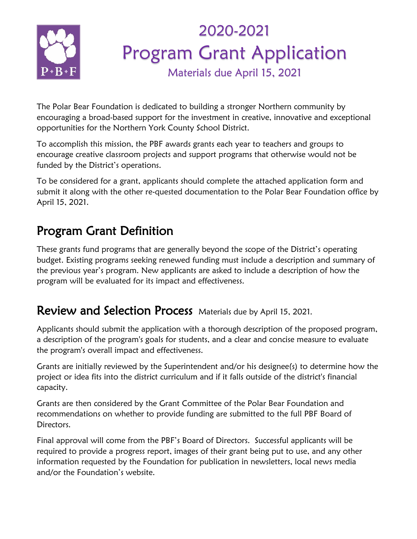

## 2020-2021 Program Grant Application Materials due April 15, 2021

The Polar Bear Foundation is dedicated to building a stronger Northern community by encouraging a broad-based support for the investment in creative, innovative and exceptional opportunities for the Northern York County School District.

To accomplish this mission, the PBF awards grants each year to teachers and groups to encourage creative classroom projects and support programs that otherwise would not be funded by the District's operations.

To be considered for a grant, applicants should complete the attached application form and submit it along with the other re-quested documentation to the Polar Bear Foundation office by April 15, 2021.

## Program Grant Definition

These grants fund programs that are generally beyond the scope of the District's operating budget. Existing programs seeking renewed funding must include a description and summary of the previous year's program. New applicants are asked to include a description of how the program will be evaluated for its impact and effectiveness.

### Review and Selection Process Materials due by April 15, 2021.

Applicants should submit the application with a thorough description of the proposed program, a description of the program's goals for students, and a clear and concise measure to evaluate the program's overall impact and effectiveness.

Grants are initially reviewed by the Superintendent and/or his designee(s) to determine how the project or idea fits into the district curriculum and if it falls outside of the district's financial capacity.

Grants are then considered by the Grant Committee of the Polar Bear Foundation and recommendations on whether to provide funding are submitted to the full PBF Board of Directors.

Final approval will come from the PBF's Board of Directors. Successful applicants will be required to provide a progress report, images of their grant being put to use, and any other information requested by the Foundation for publication in newsletters, local news media and/or the Foundation's website.